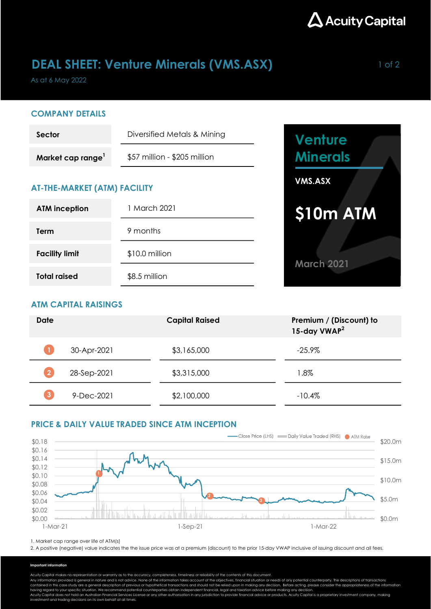

## DEAL SHEET: Venture Minerals (VMS.ASX) Management of 2

As at 6 May 2022

### COMPANY DETAILS

| Sector                        | Diversified Metals & Mining  |  |  |
|-------------------------------|------------------------------|--|--|
| Market cap range <sup>1</sup> | \$57 million - \$205 million |  |  |

## AT-THE-MARKET (ATM) FACILITY

| <b>ATM inception</b>  | 1 March 2021   |  |  |
|-----------------------|----------------|--|--|
| Term                  | 9 months       |  |  |
| <b>Facility limit</b> | \$10.0 million |  |  |
| <b>Total raised</b>   | \$8.5 million  |  |  |



## ATM CAPITAL RAISINGS

| <b>Date</b>  |             | <b>Capital Raised</b> | Premium / (Discount) to<br>15-day VWAP <sup>2</sup> |
|--------------|-------------|-----------------------|-----------------------------------------------------|
|              | 30-Apr-2021 | \$3,165,000           | $-25.9\%$                                           |
|              | 28-Sep-2021 | \$3,315,000           | 1.8%                                                |
| $\mathbf{3}$ | 9-Dec-2021  | \$2,100,000           | $-10.4\%$                                           |

## PRICE & DAILY VALUE TRADED SINCE ATM INCEPTION



1. Market cap range over life of ATM(s)

2. A positive (negative) value indicates the the issue price was at a premium (discount) to the prior 15-day VWAP inclusive of issuing discount and all fees.

#### Important information

Acuity Capital makes no representation or warranty as to the accuracy, completeness, timeliness or reliability of the contents of this document.

Any information provided is general in nature and is not advice. None of the information takes account of the objectives, financial situation or needs of any potential counterparty. The descriptions of transactions<br>contain

having regard to your specific situation. We recommend potential counterparties obtain independent financial, legal and taxation advice before making any decision.<br>Acuity Capital does not hold an Australian Financial Servi investment and trading decisions on its own behalf at all times.